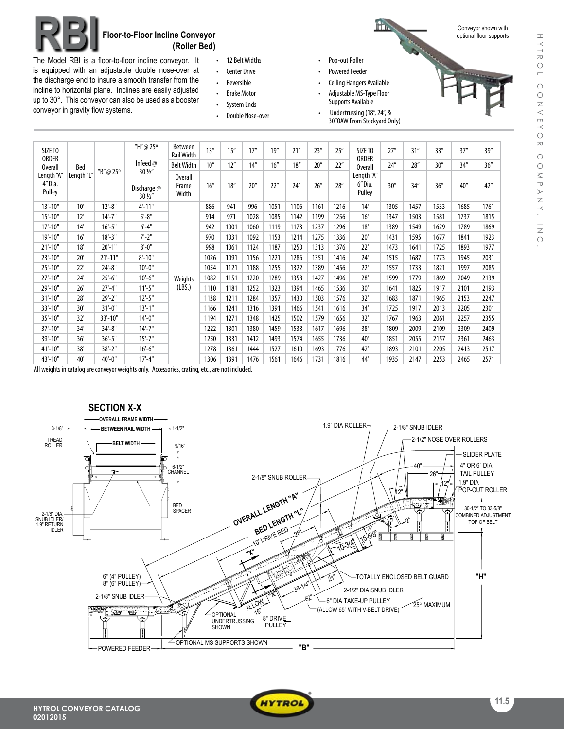

## **RBI Floor-to-Floor Incline Conveyor (Roller Bed)**

The Model RBI is a floor-to-floor incline conveyor. It is equipped with an adjustable double nose-over at the discharge end to insure a smooth transfer from the incline to horizontal plane. Inclines are easily adjusted up to 30°. This conveyor can also be used as a booster conveyor in gravity flow systems.

SIZETO ORDER Overall Length"A" 4"Dia. Pulley

- 12 Belt Widths
- • Center Drive
- • Reversible
- • Brake Motor
- • System Ends • Double Nose-over
- 
- Pop-out Roller
- Powered Feeder
- **Ceiling Hangers Available**
- Adjustable MS-Type Floor Supports Available
- Undertrussing (18", 24", & 30"OAWFrom Stockyard Only)



Conveyor shown with optional floor supports

| SIZE TO<br>ORDER<br><b>Overall</b><br>ength "A'.<br>4"Dia.<br>Pulley | Bed<br>Length "L" | "B"@25°    | "H"@25°                                                 | <b>Between</b><br><b>Rail Width</b> | 13'' | 15'' | 17'' | 19'' | 21'' | 23'' | 25'' | SIZE TO<br><b>ORDER</b>                | 27'' | 31'' | 33'' | 37'' | 39'' |
|----------------------------------------------------------------------|-------------------|------------|---------------------------------------------------------|-------------------------------------|------|------|------|------|------|------|------|----------------------------------------|------|------|------|------|------|
|                                                                      |                   |            | Infeed $@$<br>$30\frac{1}{2}$<br>Discharge @<br>30 1/2" | <b>Belt Width</b>                   | 10'' | 12'' | 14'' | 16'' | 18'' | 20'' | 22"  | Overall                                | 24'' | 28'' | 30'' | 34'' | 36'' |
|                                                                      |                   |            |                                                         | Overall<br>Frame<br>Width           | 16'' | 18'' | 20'' | 22"  | 24'' | 26'' | 28'' | Length "A"<br>6"Dia.<br>30''<br>Pulley | 34'' | 36'' | 40'' | 42'' |      |
| $13'-10"$                                                            | 10'               | $12'-8''$  | $4' - 11"$                                              |                                     | 886  | 941  | 996  | 1051 | 1106 | 1161 | 1216 | 14'                                    | 1305 | 1457 | 1533 | 1685 | 1761 |
| $15' - 10''$                                                         | 12'               | 14'-7"     | $5 - 8"$                                                |                                     | 914  | 971  | 1028 | 1085 | 1142 | 1199 | 1256 | 16'                                    | 1347 | 1503 | 1581 | 1737 | 1815 |
| $17'-10"$                                                            | 14'               | $16' - 5"$ | $6' - 4''$                                              |                                     | 942  | 1001 | 1060 | 1119 | 1178 | 1237 | 1296 | 18'                                    | 1389 | 1549 | 1629 | 1789 | 1869 |
| $19' - 10''$                                                         | 16'               | $18 - 3"$  | $7'-2"$                                                 |                                     | 970  | 1031 | 1092 | 1153 | 1214 | 1275 | 1336 | 20'                                    | 1431 | 1595 | 1677 | 1841 | 1923 |
| $21'-10"$                                                            | 18'               | $20'-1$ "  | $8' - 0''$                                              |                                     | 998  | 1061 | 1124 | 1187 | 1250 | 1313 | 1376 | 22'                                    | 1473 | 1641 | 1725 | 1893 | 1977 |
| 23'-10"                                                              | 20'               | $21'-11"$  | $8' - 10"$                                              |                                     | 1026 | 1091 | 1156 | 1221 | 1286 | 1351 | 1416 | 24'                                    | 1515 | 1687 | 1773 | 1945 | 2031 |
| 25'-10"                                                              | 22'               | $24'-8''$  | $10'-0$ "                                               |                                     | 1054 | 1121 | 1188 | 1255 | 1322 | 1389 | 1456 | 22'                                    | 1557 | 1733 | 1821 | 1997 | 2085 |
| $27'-10"$                                                            | 24'               | $25'-6''$  | $10'-6$ "                                               | Weights                             | 1082 | 1151 | 1220 | 1289 | 1358 | 1427 | 1496 | 28'                                    | 1599 | 1779 | 1869 | 2049 | 2139 |
| 29'-10"                                                              | 26'               | $27'-4"$   | $11'-5$ "                                               | (LBS.)                              | 1110 | 1181 | 1252 | 1323 | 1394 | 1465 | 1536 | 30'                                    | 1641 | 1825 | 1917 | 2101 | 2193 |
| $31'-10"$                                                            | 28'               | $29' - 2"$ | $12'-5$ "                                               |                                     | 1138 | 1211 | 1284 | 1357 | 1430 | 1503 | 1576 | 32'                                    | 1683 | 1871 | 1965 | 2153 | 2247 |
| 33'-10"                                                              | 30'               | $31'-0$ "  | $13'-1$ "                                               |                                     | 1166 | 1241 | 1316 | 1391 | 1466 | 1541 | 1616 | 34'                                    | 1725 | 1917 | 2013 | 2205 | 2301 |
| 35'-10"                                                              | 32'               | 33'-10"    | $14'-0$ "                                               |                                     | 1194 | 1271 | 1348 | 1425 | 1502 | 1579 | 1656 | 32'                                    | 1767 | 1963 | 2061 | 2257 | 2355 |
| $37' - 10''$                                                         | 34'               | $34'-8''$  | $14'-7''$                                               |                                     | 1222 | 1301 | 1380 | 1459 | 1538 | 1617 | 1696 | 38'                                    | 1809 | 2009 | 2109 | 2309 | 2409 |
| 39'-10"                                                              | 36'               | $36'-5''$  | $15' - 7"$                                              |                                     | 1250 | 1331 | 1412 | 1493 | 1574 | 1655 | 1736 | 40'                                    | 1851 | 2055 | 2157 | 2361 | 2463 |

All weights in catalog are conveyor weights only. Accessories, crating, etc., are not included.



41'-10" 38' 38'-2" 16'-6" 1278 1361 1444 1527 1610 1693 1776 42' 1893 2101 2205 2413 2517 43'-10" 40' 40'-0" 17'-4" 1306 1391 1476 1561 1646 1731 1816 44' 1935 2147 2253 2465 2571